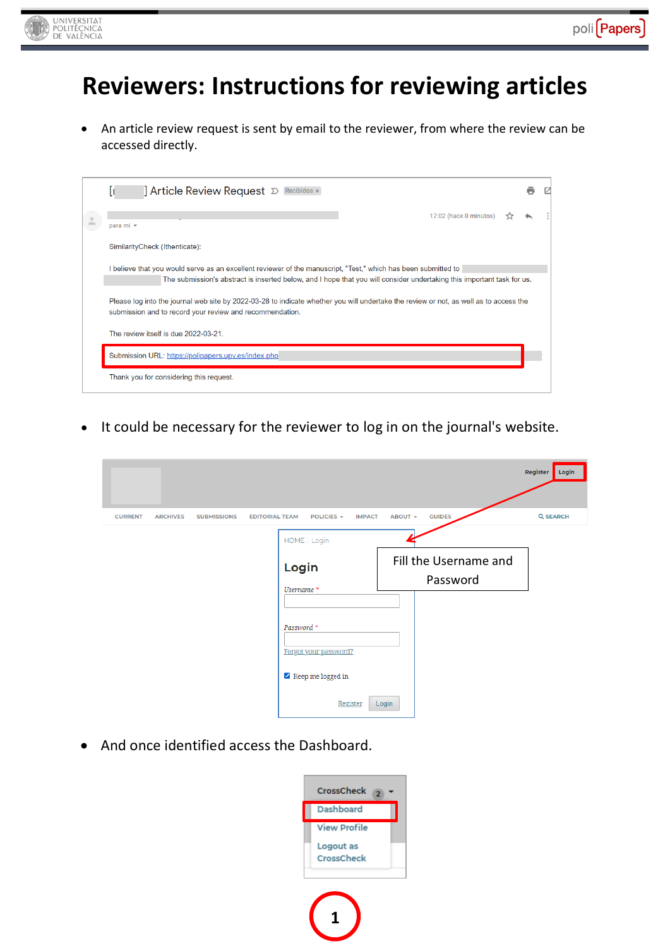

# **Reviewers: Instructions for reviewing articles**

 An article review request is sent by email to the reviewer, from where the review can be accessed directly.

| <b>]</b> Article Review Request <b>D</b> Recibidos ×                                                                                                                                                                                     |  |
|------------------------------------------------------------------------------------------------------------------------------------------------------------------------------------------------------------------------------------------|--|
| 17:02 (hace 0 minutos)<br>para mí =                                                                                                                                                                                                      |  |
| SimilarityCheck (Ithenticate):                                                                                                                                                                                                           |  |
| I believe that you would serve as an excellent reviewer of the manuscript, "Test," which has been submitted to<br>The submission's abstract is inserted below, and I hope that you will consider undertaking this important task for us. |  |
| Please log into the journal web site by 2022-03-28 to indicate whether you will undertake the review or not, as well as to access the<br>submission and to record your review and recommendation.                                        |  |
| The review itself is due 2022-03-21.                                                                                                                                                                                                     |  |
| Submission URL: https://polipapers.upv.es/index.php                                                                                                                                                                                      |  |
| Thank you for considering this request.                                                                                                                                                                                                  |  |

• It could be necessary for the reviewer to log in on the journal's website.

|                |                 |                    |                       |                                         |         |                                   | <b>Register</b><br>Login |
|----------------|-----------------|--------------------|-----------------------|-----------------------------------------|---------|-----------------------------------|--------------------------|
| <b>CURRENT</b> | <b>ARCHIVES</b> | <b>SUBMISSIONS</b> | <b>EDITORIAL TEAM</b> | POLICIES -<br><b>IMPACT</b>             | ABOUT - | <b>GUIDES</b>                     | <b>Q SEARCH</b>          |
|                |                 |                    |                       | HOME / Login                            |         |                                   |                          |
|                |                 |                    |                       | Login<br>Username *                     |         | Fill the Username and<br>Password |                          |
|                |                 |                    |                       |                                         |         |                                   |                          |
|                |                 |                    |                       | Password *<br>Forgot your password?     |         |                                   |                          |
|                |                 |                    |                       | $\blacktriangleright$ Keep me logged in |         |                                   |                          |
|                |                 |                    |                       | Register                                | Login   |                                   |                          |

• And once identified access the Dashboard.

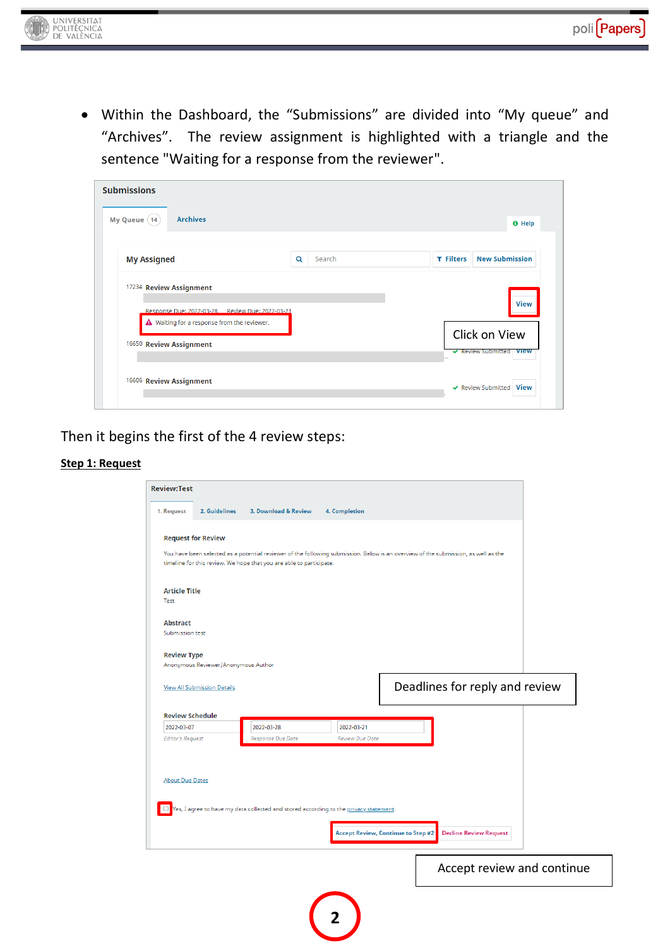

 Within the Dashboard, the "Submissions" are divided into "My queue" and "Archives". The review assignment is highlighted with a triangle and the sentence "Waiting for a response from the reviewer".

| My Queue (14)                                   |             |                  | <b>O</b> Help         |
|-------------------------------------------------|-------------|------------------|-----------------------|
| <b>My Assigned</b>                              | Search<br>Q | <b>T</b> Filters | <b>New Submission</b> |
| 17234 Review Assignment                         |             |                  |                       |
| Response Due: 2022-03-28 Review Due: 2022-03-21 |             |                  | <b>View</b>           |
|                                                 |             |                  | Click on View         |
| A Waiting for a response from the reviewer.     |             |                  |                       |

Then it begins the first of the 4 review steps:

#### **Step 1: Request**

| 1. Request<br>2. Guidelines          | 3. Download & Review                                                                                                                                                                                      | <b>4. Completion</b>                      |                                |  |
|--------------------------------------|-----------------------------------------------------------------------------------------------------------------------------------------------------------------------------------------------------------|-------------------------------------------|--------------------------------|--|
|                                      |                                                                                                                                                                                                           |                                           |                                |  |
| <b>Request for Review</b>            |                                                                                                                                                                                                           |                                           |                                |  |
|                                      | You have been selected as a potential reviewer of the following submission. Below is an overview of the submission, as well as the<br>timeline for this review. We hope that you are able to participate. |                                           |                                |  |
| <b>Article Title</b>                 |                                                                                                                                                                                                           |                                           |                                |  |
| Test                                 |                                                                                                                                                                                                           |                                           |                                |  |
| <b>Abstract</b>                      |                                                                                                                                                                                                           |                                           |                                |  |
| Submission test                      |                                                                                                                                                                                                           |                                           |                                |  |
| <b>Review Type</b>                   |                                                                                                                                                                                                           |                                           |                                |  |
| Anonymous Reviewer/Anonymous Author  |                                                                                                                                                                                                           |                                           |                                |  |
| <b>View All Submission Details</b>   |                                                                                                                                                                                                           |                                           | Deadlines for reply and review |  |
| <b>Review Schedule</b><br>2022-03-07 | 2022-03-28                                                                                                                                                                                                | 2022-03-21                                |                                |  |
| <b>Editor's Request</b>              | Response Due Date                                                                                                                                                                                         | <b>Review Due Date</b>                    |                                |  |
| <b>About Due Dates</b>               |                                                                                                                                                                                                           |                                           |                                |  |
| u                                    | Yes, I agree to have my data collected and stored according to the privacy statement.                                                                                                                     |                                           | <b>Decline Review Request</b>  |  |
|                                      |                                                                                                                                                                                                           | <b>Accept Review, Continue to Step #2</b> |                                |  |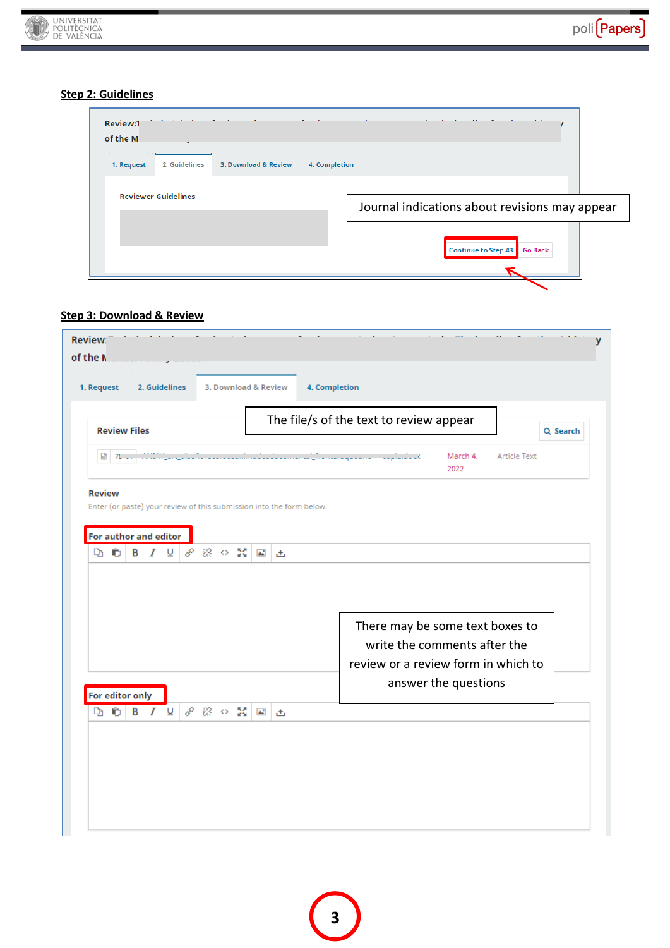#### **Step 2: Guidelines**

UNIVERSITAT

| <b>Service Controllers</b><br>$\sim$ $\sim$<br>$\sim$<br>$\sim$<br><b>Review:T</b><br>of the M<br>٠ | and the state of the<br>$-$<br>$\sim$ 100 $\pm$<br>$\mathbf{a} = \mathbf{a} + \mathbf{b} + \mathbf{c}$<br>$\cdots$<br>$\overline{ }$<br>$\sim$ $\sim$ |
|-----------------------------------------------------------------------------------------------------|-------------------------------------------------------------------------------------------------------------------------------------------------------|
| 3. Download & Review<br>1. Request<br>2. Guidelines                                                 | 4. Completion                                                                                                                                         |
| <b>Reviewer Guidelines</b>                                                                          | Journal indications about revisions may appear                                                                                                        |
|                                                                                                     | Continue to Step #3<br><b>Go Back</b>                                                                                                                 |
|                                                                                                     |                                                                                                                                                       |

### **Step 3: Download & Review**

|                       |                     |  |                     |  |  |                                                     |                                                                      | The file/s of the text to review appear                          |
|-----------------------|---------------------|--|---------------------|--|--|-----------------------------------------------------|----------------------------------------------------------------------|------------------------------------------------------------------|
|                       | <b>Review Files</b> |  |                     |  |  |                                                     |                                                                      | Q Search                                                         |
|                       | $w$ 70000           |  |                     |  |  |                                                     |                                                                      | فاستأمرت المستنوعة بالأولادة<br>March 4.<br>Article Text<br>2022 |
| <b>Review</b>         |                     |  |                     |  |  |                                                     |                                                                      |                                                                  |
|                       |                     |  |                     |  |  |                                                     | Enter (or paste) your review of this submission into the form below. |                                                                  |
| For author and editor |                     |  |                     |  |  |                                                     |                                                                      |                                                                  |
|                       |                     |  |                     |  |  |                                                     | 出                                                                    |                                                                  |
|                       |                     |  |                     |  |  |                                                     |                                                                      |                                                                  |
|                       |                     |  |                     |  |  |                                                     |                                                                      |                                                                  |
|                       |                     |  |                     |  |  |                                                     |                                                                      |                                                                  |
|                       |                     |  |                     |  |  |                                                     |                                                                      | There may be some text boxes to<br>write the comments after the  |
|                       |                     |  |                     |  |  |                                                     |                                                                      | review or a review form in which to                              |
|                       |                     |  |                     |  |  |                                                     |                                                                      | answer the questions                                             |
| For editor only       |                     |  |                     |  |  |                                                     |                                                                      |                                                                  |
| D,                    | Ò                   |  | <b>B</b> <i>I</i> ⊎ |  |  | $\mathscr{S} \otimes \mathscr{L} \times \mathbb{N}$ | 凸                                                                    |                                                                  |
|                       |                     |  |                     |  |  |                                                     |                                                                      |                                                                  |
|                       |                     |  |                     |  |  |                                                     |                                                                      |                                                                  |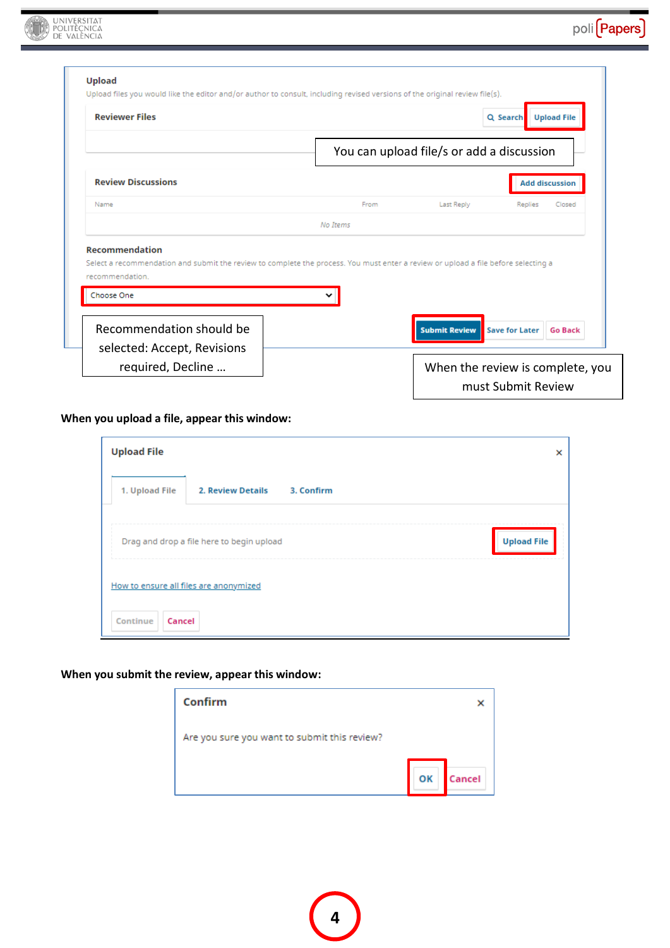poli (Papers)

| <b>Reviewer Files</b>                                                                                                                                                                        |          |                                           | <b>Upload File</b><br>Q Search |
|----------------------------------------------------------------------------------------------------------------------------------------------------------------------------------------------|----------|-------------------------------------------|--------------------------------|
|                                                                                                                                                                                              |          | You can upload file/s or add a discussion |                                |
| <b>Review Discussions</b>                                                                                                                                                                    |          |                                           | <b>Add discussion</b>          |
| Name                                                                                                                                                                                         | From     | Last Reply                                | Replies<br>Closed              |
|                                                                                                                                                                                              | No Items |                                           |                                |
|                                                                                                                                                                                              |          |                                           |                                |
| <b>Recommendation</b><br>Select a recommendation and submit the review to complete the process. You must enter a review or upload a file before selecting a<br>recommendation.<br>Choose One |          |                                           |                                |

## **When you upload a file, appear this window:**

UNIVERSITAT

| <b>Upload File</b> |                                           |                    | × |
|--------------------|-------------------------------------------|--------------------|---|
| 1. Upload File     | 2. Review Details                         | 3. Confirm         |   |
|                    | Drag and drop a file here to begin upload | <b>Upload File</b> |   |
|                    | How to ensure all files are anonymized    |                    |   |
| Continue<br>Cancel |                                           |                    |   |

#### **When you submit the review, appear this window:**

| Confirm                                      |    |        |
|----------------------------------------------|----|--------|
| Are you sure you want to submit this review? |    |        |
|                                              | OK | Cancel |